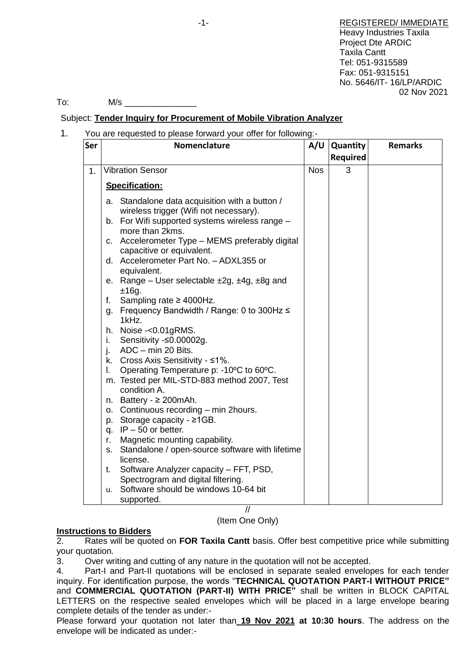-1- REGISTERED/ IMMEDIATE Heavy Industries Taxila Project Dte ARDIC Taxila Cantt Tel: 051-9315589 Fax: 051-9315151 No. 5646/IT- 16/LP/ARDIC 02 Nov 2021

To: M/s \_\_\_\_\_\_\_\_\_\_\_\_\_\_\_

# Subject: **Tender Inquiry for Procurement of Mobile Vibration Analyzer**

1. You are requested to please forward your offer for following:-

| Ser | Nomenclature                                                                                                                                                                                                                                                                                                                                                                                                                                                                                                                                                                                                                                                                                                                                                                                                                                                                                                                                                                          | A/U        | <b>Quantity</b><br><b>Required</b> | <b>Remarks</b> |
|-----|---------------------------------------------------------------------------------------------------------------------------------------------------------------------------------------------------------------------------------------------------------------------------------------------------------------------------------------------------------------------------------------------------------------------------------------------------------------------------------------------------------------------------------------------------------------------------------------------------------------------------------------------------------------------------------------------------------------------------------------------------------------------------------------------------------------------------------------------------------------------------------------------------------------------------------------------------------------------------------------|------------|------------------------------------|----------------|
| 1.  | <b>Vibration Sensor</b>                                                                                                                                                                                                                                                                                                                                                                                                                                                                                                                                                                                                                                                                                                                                                                                                                                                                                                                                                               | <b>Nos</b> | 3                                  |                |
|     | Specification:                                                                                                                                                                                                                                                                                                                                                                                                                                                                                                                                                                                                                                                                                                                                                                                                                                                                                                                                                                        |            |                                    |                |
|     | a. Standalone data acquisition with a button /<br>wireless trigger (Wifi not necessary).<br>b. For Wifi supported systems wireless range -<br>more than 2kms.<br>Accelerometer Type - MEMS preferably digital<br>C.<br>capacitive or equivalent.<br>d. Accelerometer Part No. - ADXL355 or<br>equivalent.<br>e. Range – User selectable $\pm 2g$ , $\pm 4g$ , $\pm 8g$ and<br>±16g.<br>Sampling rate $\geq$ 4000Hz.<br>f.<br>g. Frequency Bandwidth / Range: 0 to 300Hz ≤<br>1kHz.<br>Noise -< 0.01 gRMS.<br>h.<br>Sensitivity -≤0.00002g.<br>Ι.<br>ADC - min 20 Bits.<br>j.<br>k. Cross Axis Sensitivity - ≤1%.<br>Operating Temperature p: -10°C to 60°C.<br>I.<br>m. Tested per MIL-STD-883 method 2007, Test<br>condition A.<br>n. Battery - $\geq$ 200 mAh.<br>o. Continuous recording - min 2hours.<br>p. Storage capacity - $\geq$ 1GB.<br>q. $IP - 50$ or better.<br>Magnetic mounting capability.<br>r.<br>Standalone / open-source software with lifetime<br>s.<br>license. |            |                                    |                |
|     | Software Analyzer capacity - FFT, PSD,<br>t.<br>Spectrogram and digital filtering.                                                                                                                                                                                                                                                                                                                                                                                                                                                                                                                                                                                                                                                                                                                                                                                                                                                                                                    |            |                                    |                |
|     | Software should be windows 10-64 bit<br>u.<br>supported.                                                                                                                                                                                                                                                                                                                                                                                                                                                                                                                                                                                                                                                                                                                                                                                                                                                                                                                              |            |                                    |                |

// (Item One Only)

### **Instructions to Bidders**

2. Rates will be quoted on **FOR Taxila Cantt** basis. Offer best competitive price while submitting your quotation.

3. Over writing and cutting of any nature in the quotation will not be accepted.

4. Part-I and Part-II quotations will be enclosed in separate sealed envelopes for each tender inquiry. For identification purpose, the words "**TECHNICAL QUOTATION PART-I WITHOUT PRICE"** and **COMMERCIAL QUOTATION (PART-II) WITH PRICE"** shall be written in BLOCK CAPITAL LETTERS on the respective sealed envelopes which will be placed in a large envelope bearing complete details of the tender as under:-

Please forward your quotation not later than **19 Nov 2021 at 10:30 hours**. The address on the envelope will be indicated as under:-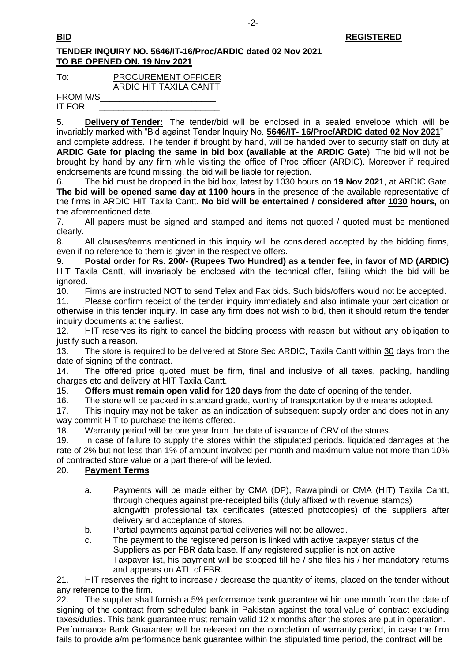## **TENDER INQUIRY NO. 5646/IT-16/Proc/ARDIC dated 02 Nov 2021 TO BE OPENED ON. 19 Nov 2021**

| To:             | <b>PROCUREMENT OFFICER</b> |
|-----------------|----------------------------|
|                 | ARDIC HIT TAXILA CANTT     |
| <b>FROM M/S</b> |                            |

IT FOR \_\_\_\_\_\_\_\_\_\_\_\_\_\_\_\_\_\_\_\_\_\_\_\_\_

5. **Delivery of Tender:** The tender/bid will be enclosed in a sealed envelope which will be invariably marked with "Bid against Tender Inquiry No. **5646/IT- 16/Proc/ARDIC dated 02 Nov 2021**"

and complete address. The tender if brought by hand, will be handed over to security staff on duty at **ARDIC Gate for placing the same in bid box (available at the ARDIC Gate**). The bid will not be brought by hand by any firm while visiting the office of Proc officer (ARDIC). Moreover if required endorsements are found missing, the bid will be liable for rejection.

6. The bid must be dropped in the bid box, latest by 1030 hours on **19 Nov 2021**, at ARDIC Gate. **The bid will be opened same day at 1100 hours** in the presence of the available representative of the firms in ARDIC HIT Taxila Cantt. **No bid will be entertained / considered after 1030 hours,** on the aforementioned date.

7. All papers must be signed and stamped and items not quoted / quoted must be mentioned clearly.

8. All clauses/terms mentioned in this inquiry will be considered accepted by the bidding firms, even if no reference to them is given in the respective offers.

9. **Postal order for Rs. 200/- (Rupees Two Hundred) as a tender fee, in favor of MD (ARDIC)** HIT Taxila Cantt, will invariably be enclosed with the technical offer, failing which the bid will be ignored.

10. Firms are instructed NOT to send Telex and Fax bids. Such bids/offers would not be accepted.

11. Please confirm receipt of the tender inquiry immediately and also intimate your participation or otherwise in this tender inquiry. In case any firm does not wish to bid, then it should return the tender inquiry documents at the earliest.

12. HIT reserves its right to cancel the bidding process with reason but without any obligation to justify such a reason.

13. The store is required to be delivered at Store Sec ARDIC, Taxila Cantt within 30 days from the date of signing of the contract.

14. The offered price quoted must be firm, final and inclusive of all taxes, packing, handling charges etc and delivery at HIT Taxila Cantt.

15. **Offers must remain open valid for 120 days** from the date of opening of the tender.

16. The store will be packed in standard grade, worthy of transportation by the means adopted.

17. This inquiry may not be taken as an indication of subsequent supply order and does not in any way commit HIT to purchase the items offered.

18. Warranty period will be one year from the date of issuance of CRV of the stores.

19. In case of failure to supply the stores within the stipulated periods, liquidated damages at the rate of 2% but not less than 1% of amount involved per month and maximum value not more than 10% of contracted store value or a part there-of will be levied.

### 20. **Payment Terms**

- a. Payments will be made either by CMA (DP), Rawalpindi or CMA (HIT) Taxila Cantt, through cheques against pre-receipted bills (duly affixed with revenue stamps) alongwith professional tax certificates (attested photocopies) of the suppliers after delivery and acceptance of stores.
- b. Partial payments against partial deliveries will not be allowed.
- c. The payment to the registered person is linked with active taxpayer status of the Suppliers as per FBR data base. If any registered supplier is not on active Taxpayer list, his payment will be stopped till he / she files his / her mandatory returns and appears on ATL of FBR.

21. HIT reserves the right to increase / decrease the quantity of items, placed on the tender without any reference to the firm.

22. The supplier shall furnish a 5% performance bank guarantee within one month from the date of signing of the contract from scheduled bank in Pakistan against the total value of contract excluding taxes/duties. This bank guarantee must remain valid 12 x months after the stores are put in operation. Performance Bank Guarantee will be released on the completion of warranty period, in case the firm fails to provide a/m performance bank guarantee within the stipulated time period, the contract will be